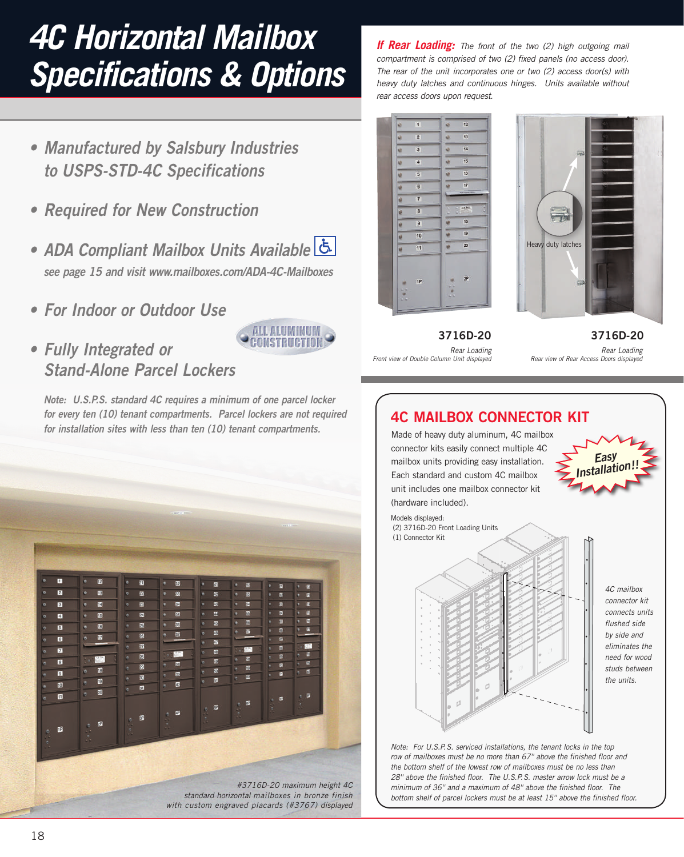# *4C Horizontal Mailbox Specifications & Options*

- **• Manufactured by Salsbury Industries to USPS-STD-4C Specifications**
- **• Required for New Construction**
- **• ADA Compliant Mailbox Units Available see page 15 and visit www.mailboxes.com/ADA-4C-Mailboxes**
- **• For Indoor or Outdoor Use**
- **• Fully Integrated or Stand-Alone Parcel Lockers**

**Note: U.S.P.S. standard 4C requires a minimum of one parcel locker for every ten (10) tenant compartments. Parcel lockers are not required for installation sites with less than ten (10) tenant compartments***.*

ALL ALUMINUM, CONSTRUCTION



*If Rear Loading: The front of the two (2) high outgoing mail compartment is comprised of two (2) fixed panels (no access door). The rear of the unit incorporates one or two (2) access door(s) with heavy duty latches and continuous hinges. Units available without rear access doors upon request.* 



*Front view of Double Column Unit displayed*



*Rear Loading* **3716D-20 3716D-20**

*Rear Loading Rear view of Rear Access Doors displayed*

# **4C MAILBOX CONNECTOR KIT** *Note: For U.S.P.S. serviced installations, the tenant locks in the top 4C mailbox connector kit connects units flushed side by side and eliminates the need for wood studs between the units. Easy* **Installation!!** Made of heavy duty aluminum, 4C mailbox connector kits easily connect multiple 4C mailbox units providing easy installation. Each standard and custom 4C mailbox unit includes one mailbox connector kit (hardware included). Models displayed: (2) 3716D-20 Front Loading Units (1) Connector Kit

*row of mailboxes must be no more than 67'' above the finished floor and the bottom shelf of the lowest row of mailboxes must be no less than 28'' above the finished floor. The U.S.P.S. master arrow lock must be a minimum of 36'' and a maximum of 48'' above the finished floor. The bottom shelf of parcel lockers must be at least 15'' above the finished floor.*